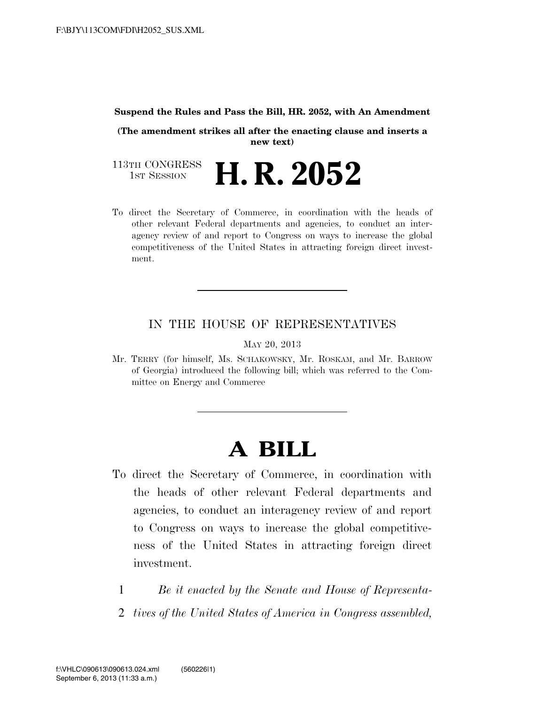#### **Suspend the Rules and Pass the Bill, HR. 2052, with An Amendment**

**(The amendment strikes all after the enacting clause and inserts a new text)**

113TH CONGRESS<br>1st Session H. R. 2052

To direct the Secretary of Commerce, in coordination with the heads of other relevant Federal departments and agencies, to conduct an interagency review of and report to Congress on ways to increase the global competitiveness of the United States in attracting foreign direct investment.

# IN THE HOUSE OF REPRESENTATIVES

MAY 20, 2013

Mr. TERRY (for himself, Ms. SCHAKOWSKY, Mr. ROSKAM, and Mr. BARROW of Georgia) introduced the following bill; which was referred to the Committee on Energy and Commerce

# **A BILL**

- To direct the Secretary of Commerce, in coordination with the heads of other relevant Federal departments and agencies, to conduct an interagency review of and report to Congress on ways to increase the global competitiveness of the United States in attracting foreign direct investment.
	- 1 *Be it enacted by the Senate and House of Representa-*
	- 2 *tives of the United States of America in Congress assembled,*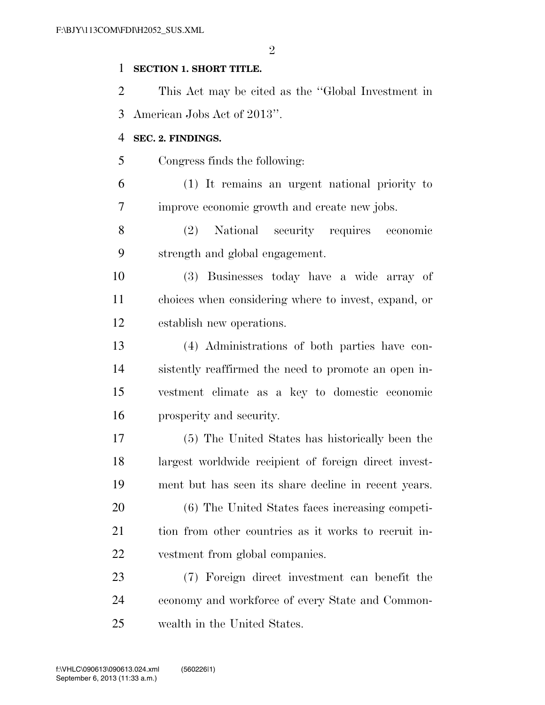$\mathfrak{D}$ 

## **SECTION 1. SHORT TITLE.**

 This Act may be cited as the ''Global Investment in American Jobs Act of 2013''.

### **SEC. 2. FINDINGS.**

Congress finds the following:

 (1) It remains an urgent national priority to improve economic growth and create new jobs.

 (2) National security requires economic strength and global engagement.

 (3) Businesses today have a wide array of choices when considering where to invest, expand, or establish new operations.

 (4) Administrations of both parties have con- sistently reaffirmed the need to promote an open in- vestment climate as a key to domestic economic prosperity and security.

 (5) The United States has historically been the largest worldwide recipient of foreign direct invest-ment but has seen its share decline in recent years.

 (6) The United States faces increasing competi- tion from other countries as it works to recruit in-vestment from global companies.

 (7) Foreign direct investment can benefit the economy and workforce of every State and Common-wealth in the United States.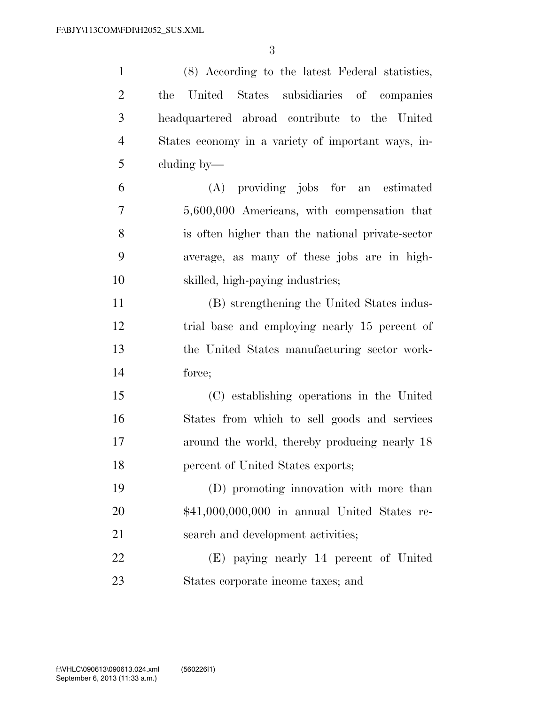| $\mathbf{1}$   | (8) According to the latest Federal statistics,    |
|----------------|----------------------------------------------------|
| $\overline{2}$ | United States subsidiaries of companies<br>the     |
| $\mathfrak{Z}$ | headquartered abroad contribute to the United      |
| $\overline{4}$ | States economy in a variety of important ways, in- |
| 5              | cluding by—                                        |
| 6              | (A) providing jobs for an estimated                |
| 7              | 5,600,000 Americans, with compensation that        |
| 8              | is often higher than the national private-sector   |
| 9              | average, as many of these jobs are in high-        |
| 10             | skilled, high-paying industries;                   |
| 11             | (B) strengthening the United States indus-         |
| 12             | trial base and employing nearly 15 percent of      |
| 13             | the United States manufacturing sector work-       |
| 14             | force;                                             |
| 15             | (C) establishing operations in the United          |
| 16             | States from which to sell goods and services       |
| 17             | around the world, thereby producing nearly 18      |
| 18             | percent of United States exports;                  |
| 19             | (D) promoting innovation with more than            |
| 20             | \$41,000,000,000 in annual United States re-       |
| 21             | search and development activities;                 |
| 22             | (E) paying nearly 14 percent of United             |
| 23             | States corporate income taxes; and                 |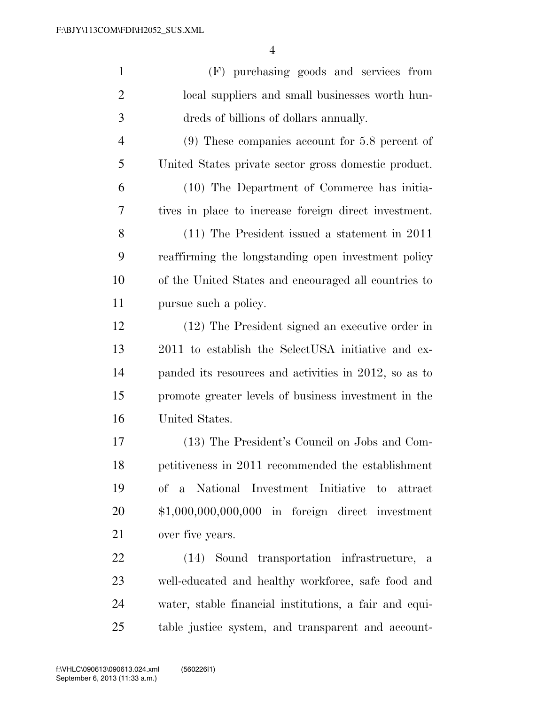| $\mathbf{1}$   | (F) purchasing goods and services from                 |
|----------------|--------------------------------------------------------|
| $\overline{2}$ | local suppliers and small businesses worth hun-        |
| 3              | dreds of billions of dollars annually.                 |
| $\overline{4}$ | $(9)$ These companies account for 5.8 percent of       |
| 5              | United States private sector gross domestic product.   |
| 6              | (10) The Department of Commerce has initia-            |
| 7              | tives in place to increase foreign direct investment.  |
| 8              | $(11)$ The President issued a statement in 2011        |
| 9              | reaffirming the longstanding open investment policy    |
| 10             | of the United States and encouraged all countries to   |
| 11             | pursue such a policy.                                  |
| 12             | (12) The President signed an executive order in        |
| 13             | 2011 to establish the SelectUSA initiative and ex-     |
| 14             | panded its resources and activities in 2012, so as to  |
| 15             | promote greater levels of business investment in the   |
| 16             | United States.                                         |
| 17             | (13) The President's Council on Jobs and Com-          |
| 18             | petitiveness in 2011 recommended the establishment     |
| 19             | of a National Investment Initiative<br>to attract      |
| 20             | $$1,000,000,000,000$ in foreign direct investment      |
| 21             | over five years.                                       |
| 22             | (14) Sound transportation infrastructure, a            |
| 23             | well-educated and healthy workforce, safe food and     |
| 24             | water, stable financial institutions, a fair and equi- |
| 25             | table justice system, and transparent and account-     |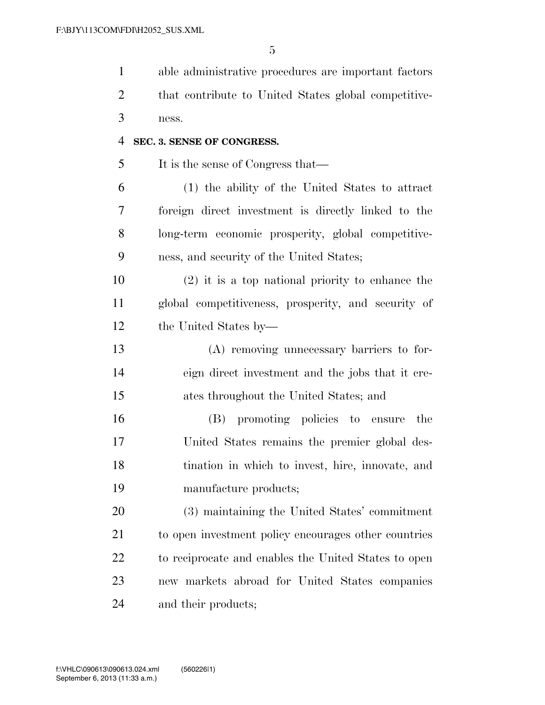| $\mathbf{1}$   | able administrative procedures are important factors |
|----------------|------------------------------------------------------|
| $\overline{2}$ | that contribute to United States global competitive- |
| 3              | ness.                                                |
| $\overline{4}$ | SEC. 3. SENSE OF CONGRESS.                           |
| 5              | It is the sense of Congress that—                    |
| 6              | (1) the ability of the United States to attract      |
| 7              | foreign direct investment is directly linked to the  |
| 8              | long-term economic prosperity, global competitive-   |
| 9              | ness, and security of the United States;             |
| 10             | $(2)$ it is a top national priority to enhance the   |
| 11             | global competitiveness, prosperity, and security of  |
| 12             | the United States by—                                |
| 13             | (A) removing unnecessary barriers to for-            |
| 14             | eign direct investment and the jobs that it cre-     |
| 15             | ates throughout the United States; and               |
| 16             | (B) promoting policies to ensure<br>the              |
| 17             | United States remains the premier global des-        |
| 18             | tination in which to invest, hire, innovate, and     |
| 19             | manufacture products;                                |
| 20             | (3) maintaining the United States' commitment        |
| 21             | to open investment policy encourages other countries |
| 22             | to reciprocate and enables the United States to open |
| 23             | new markets abroad for United States companies       |
| 24             | and their products;                                  |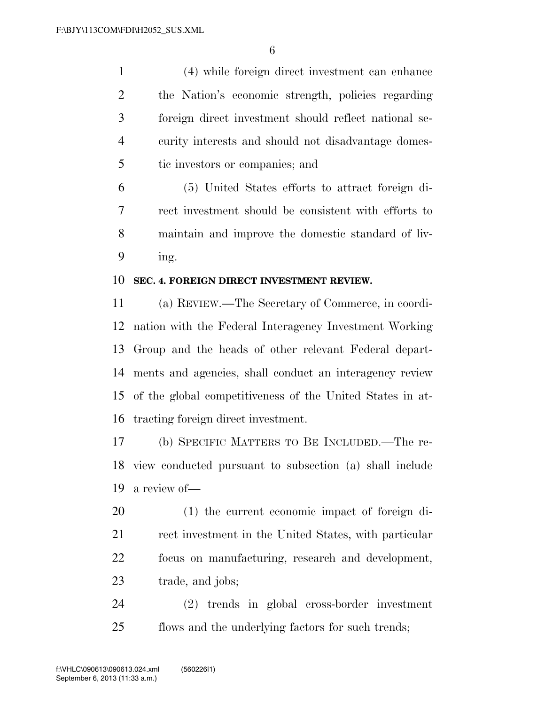(4) while foreign direct investment can enhance the Nation's economic strength, policies regarding foreign direct investment should reflect national se- curity interests and should not disadvantage domes-tic investors or companies; and

 (5) United States efforts to attract foreign di- rect investment should be consistent with efforts to maintain and improve the domestic standard of liv-ing.

#### **SEC. 4. FOREIGN DIRECT INVESTMENT REVIEW.**

 (a) REVIEW.—The Secretary of Commerce, in coordi- nation with the Federal Interagency Investment Working Group and the heads of other relevant Federal depart- ments and agencies, shall conduct an interagency review of the global competitiveness of the United States in at-tracting foreign direct investment.

 (b) SPECIFIC MATTERS TO BE INCLUDED.—The re- view conducted pursuant to subsection (a) shall include a review of—

 (1) the current economic impact of foreign di-21 rect investment in the United States, with particular focus on manufacturing, research and development, trade, and jobs;

 (2) trends in global cross-border investment flows and the underlying factors for such trends;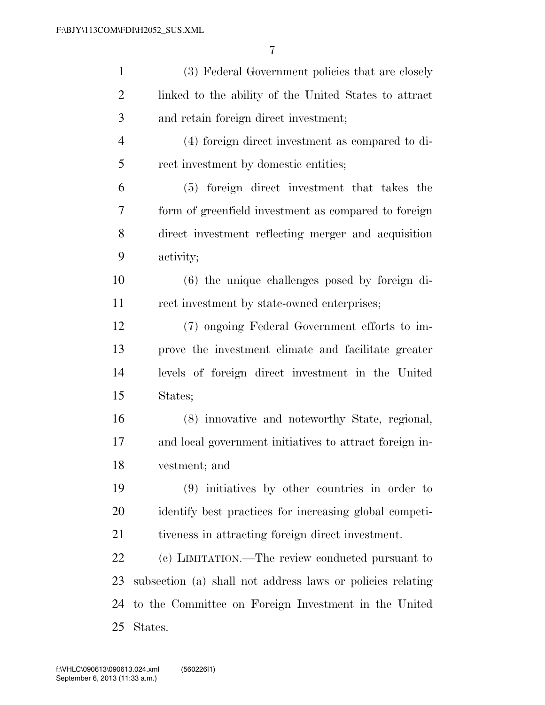| $\mathbf{1}$   | (3) Federal Government policies that are closely           |
|----------------|------------------------------------------------------------|
| $\overline{2}$ | linked to the ability of the United States to attract      |
| 3              | and retain foreign direct investment;                      |
| $\overline{4}$ | (4) foreign direct investment as compared to di-           |
| 5              | rect investment by domestic entities;                      |
| 6              | (5) foreign direct investment that takes the               |
| 7              | form of greenfield investment as compared to foreign       |
| 8              | direct investment reflecting merger and acquisition        |
| 9              | activity;                                                  |
| 10             | (6) the unique challenges posed by foreign di-             |
| 11             | rect investment by state-owned enterprises;                |
| 12             | (7) ongoing Federal Government efforts to im-              |
| 13             | prove the investment climate and facilitate greater        |
| 14             | levels of foreign direct investment in the United          |
| 15             | States;                                                    |
| 16             | (8) innovative and noteworthy State, regional,             |
| 17             | and local government initiatives to attract foreign in-    |
| 18             | vestment; and                                              |
| 19             | $(9)$ initiatives by other countries in order to           |
| 20             | identify best practices for increasing global competi-     |
| 21             | tiveness in attracting foreign direct investment.          |
| 22             | (c) LIMITATION.—The review conducted pursuant to           |
| 23             | subsection (a) shall not address laws or policies relating |
| 24             | to the Committee on Foreign Investment in the United       |
| 25             | States.                                                    |